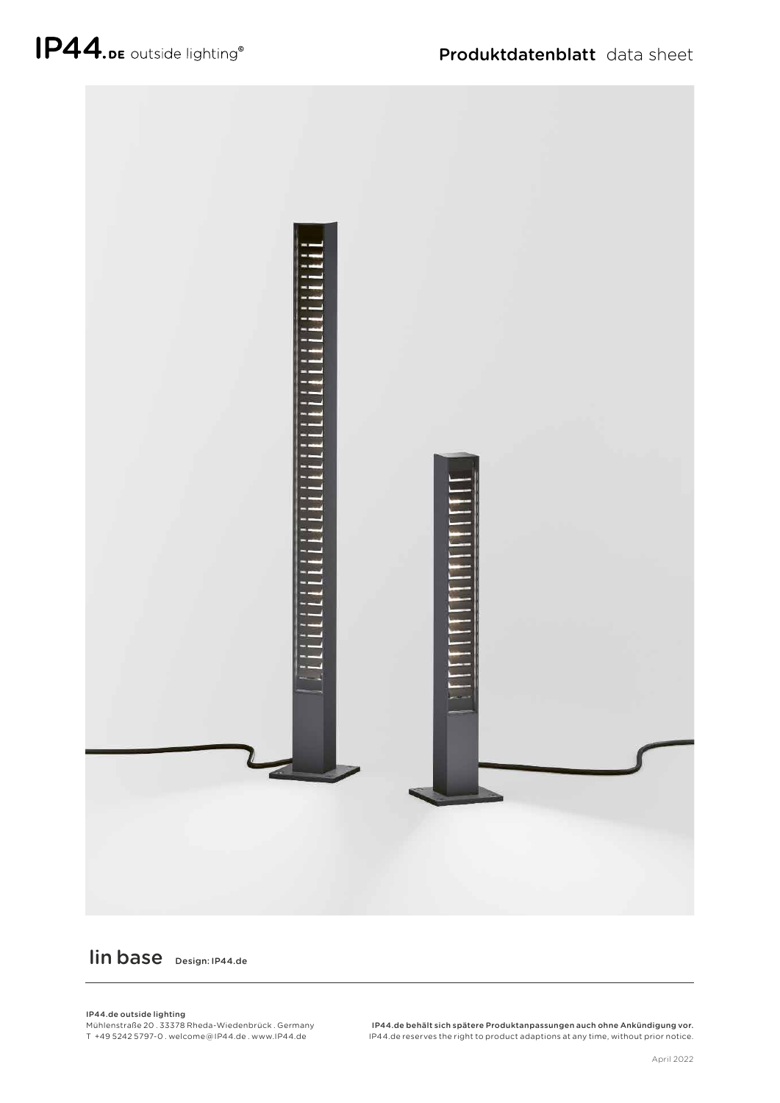

## lin base Design: IP44.de

## IP44.de outside lighting

Mühlenstraße 20 . 33378 Rheda-Wiedenbrück . Germany T +49 5242 5797-0 . welcome @ IP44.de . www.IP44.de

IP44.de behält sich spätere Produktanpassungen auch ohne Ankündigung vor. IP44.de reserves the right to product adaptions at any time, without prior notice.